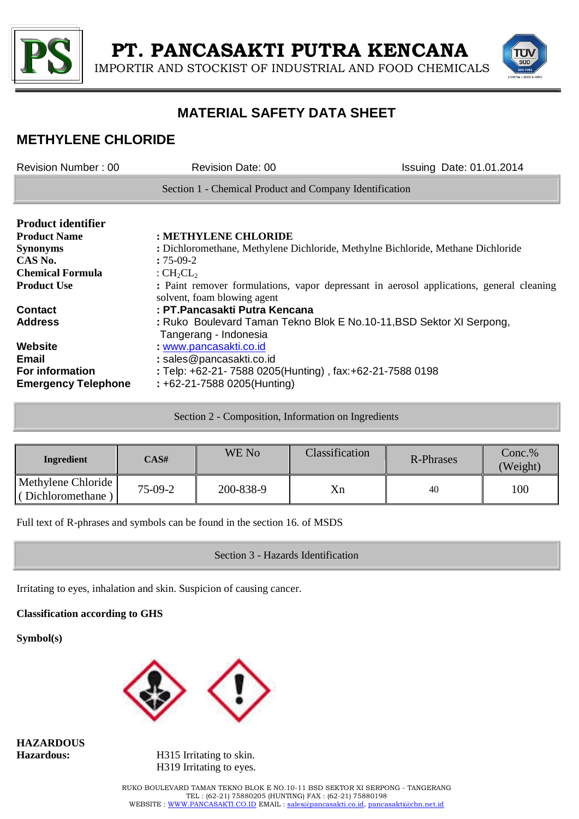

IMPORTIR AND STOCKIST OF INDUSTRIAL AND FOOD CHEMICALS



## **MATERIAL SAFETY DATA SHEET**

## **METHYLENE CHLORIDE**

| Revision Number: 00        | <b>Revision Date: 00</b>                                                                                                | Issuing Date: 01.01.2014 |
|----------------------------|-------------------------------------------------------------------------------------------------------------------------|--------------------------|
|                            | Section 1 - Chemical Product and Company Identification                                                                 |                          |
| <b>Product identifier</b>  |                                                                                                                         |                          |
| <b>Product Name</b>        | : METHYLENE CHLORIDE                                                                                                    |                          |
| <b>Synonyms</b>            | : Dichloromethane, Methylene Dichloride, Methylne Bichloride, Methane Dichloride                                        |                          |
| CAS No.                    | $:75-09-2$                                                                                                              |                          |
| <b>Chemical Formula</b>    | : $CH_2CL_2$                                                                                                            |                          |
| <b>Product Use</b>         | : Paint remover formulations, vapor depressant in aerosol applications, general cleaning<br>solvent, foam blowing agent |                          |
| <b>Contact</b>             | : PT.Pancasakti Putra Kencana                                                                                           |                          |
| <b>Address</b>             | : Ruko Boulevard Taman Tekno Blok E No.10-11, BSD Sektor XI Serpong,<br>Tangerang - Indonesia                           |                          |
| <b>Website</b>             | www.pancasakti.co.id                                                                                                    |                          |
| <b>Email</b>               | : sales@pancasakti.co.id                                                                                                |                          |
| For information            | : Telp: +62-21- 7588 0205(Hunting), fax: +62-21-7588 0198                                                               |                          |
| <b>Emergency Telephone</b> | $: +62 - 21 - 75880205$ (Hunting)                                                                                       |                          |

| Ingredient                              | CAS#      | WE No     | Classification | R-Phrases | $Conc.\%$<br>(Weight) |
|-----------------------------------------|-----------|-----------|----------------|-----------|-----------------------|
| Methylene Chloride<br>(Dichloromethane) | $75-09-2$ | 200-838-9 | Xn             | 40        | 100                   |

Full text of R-phrases and symbols can be found in the section 16. of MSDS

### Section 3 - Hazards Identification

Irritating to eyes, inhalation and skin. Suspicion of causing cancer.

**Classification according to GHS**

**Symbol(s)**



**HAZARDOUS** 

**Hazardous:** H315 Irritating to skin. H319 Irritating to eyes.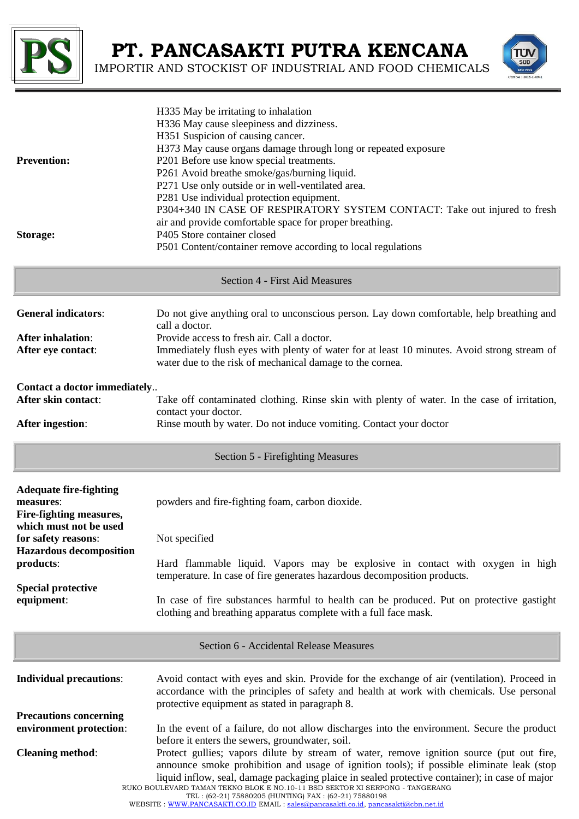

IMPORTIR AND STOCKIST OF INDUSTRIAL AND FOOD CHEMICALS

SUD

| <b>Prevention:</b><br>Storage:                                                                                                              | H335 May be irritating to inhalation<br>H336 May cause sleepiness and dizziness.<br>H351 Suspicion of causing cancer.<br>H373 May cause organs damage through long or repeated exposure<br>P201 Before use know special treatments.<br>P261 Avoid breathe smoke/gas/burning liquid.<br>P271 Use only outside or in well-ventilated area.<br>P281 Use individual protection equipment.<br>P304+340 IN CASE OF RESPIRATORY SYSTEM CONTACT: Take out injured to fresh<br>air and provide comfortable space for proper breathing.<br>P405 Store container closed<br>P501 Content/container remove according to local regulations |  |
|---------------------------------------------------------------------------------------------------------------------------------------------|------------------------------------------------------------------------------------------------------------------------------------------------------------------------------------------------------------------------------------------------------------------------------------------------------------------------------------------------------------------------------------------------------------------------------------------------------------------------------------------------------------------------------------------------------------------------------------------------------------------------------|--|
|                                                                                                                                             | <b>Section 4 - First Aid Measures</b>                                                                                                                                                                                                                                                                                                                                                                                                                                                                                                                                                                                        |  |
| <b>General indicators:</b>                                                                                                                  | Do not give anything oral to unconscious person. Lay down comfortable, help breathing and<br>call a doctor.                                                                                                                                                                                                                                                                                                                                                                                                                                                                                                                  |  |
| <b>After inhalation:</b><br>After eye contact:                                                                                              | Provide access to fresh air. Call a doctor.<br>Immediately flush eyes with plenty of water for at least 10 minutes. Avoid strong stream of<br>water due to the risk of mechanical damage to the cornea.                                                                                                                                                                                                                                                                                                                                                                                                                      |  |
| Contact a doctor immediately<br>After skin contact:                                                                                         | Take off contaminated clothing. Rinse skin with plenty of water. In the case of irritation,                                                                                                                                                                                                                                                                                                                                                                                                                                                                                                                                  |  |
| <b>After ingestion:</b>                                                                                                                     | contact your doctor.<br>Rinse mouth by water. Do not induce vomiting. Contact your doctor                                                                                                                                                                                                                                                                                                                                                                                                                                                                                                                                    |  |
|                                                                                                                                             | Section 5 - Firefighting Measures                                                                                                                                                                                                                                                                                                                                                                                                                                                                                                                                                                                            |  |
| <b>Adequate fire-fighting</b><br>measures:<br>Fire-fighting measures,<br>which must not be used                                             | powders and fire-fighting foam, carbon dioxide.                                                                                                                                                                                                                                                                                                                                                                                                                                                                                                                                                                              |  |
| for safety reasons:<br><b>Hazardous decomposition</b>                                                                                       | Not specified                                                                                                                                                                                                                                                                                                                                                                                                                                                                                                                                                                                                                |  |
| products:                                                                                                                                   | Hard flammable liquid. Vapors may be explosive in contact with oxygen in high<br>temperature. In case of fire generates hazardous decomposition products.                                                                                                                                                                                                                                                                                                                                                                                                                                                                    |  |
| <b>Special protective</b><br>equipment:                                                                                                     | In case of fire substances harmful to health can be produced. Put on protective gastight<br>clothing and breathing apparatus complete with a full face mask.                                                                                                                                                                                                                                                                                                                                                                                                                                                                 |  |
| Section 6 - Accidental Release Measures                                                                                                     |                                                                                                                                                                                                                                                                                                                                                                                                                                                                                                                                                                                                                              |  |
| <b>Individual precautions:</b>                                                                                                              | Avoid contact with eyes and skin. Provide for the exchange of air (ventilation). Proceed in<br>accordance with the principles of safety and health at work with chemicals. Use personal<br>protective equipment as stated in paragraph 8.                                                                                                                                                                                                                                                                                                                                                                                    |  |
| <b>Precautions concerning</b><br>environment protection:                                                                                    | In the event of a failure, do not allow discharges into the environment. Secure the product                                                                                                                                                                                                                                                                                                                                                                                                                                                                                                                                  |  |
| <b>Cleaning method:</b>                                                                                                                     | before it enters the sewers, groundwater, soil.<br>Protect gullies; vapors dilute by stream of water, remove ignition source (put out fire,<br>announce smoke prohibition and usage of ignition tools); if possible eliminate leak (stop<br>liquid inflow, seal, damage packaging plaice in sealed protective container); in case of major<br>RUKO BOULEVARD TAMAN TEKNO BLOK E NO.10-11 BSD SEKTOR XI SERPONG - TANGERANG                                                                                                                                                                                                   |  |
| TEL: (62-21) 75880205 (HUNTING) FAX: (62-21) 75880198<br>WEBSITE: WWW.PANCASAKTI.CO.ID EMAIL: sales@pancasakti.co.id, pancasakti@cbn.net.id |                                                                                                                                                                                                                                                                                                                                                                                                                                                                                                                                                                                                                              |  |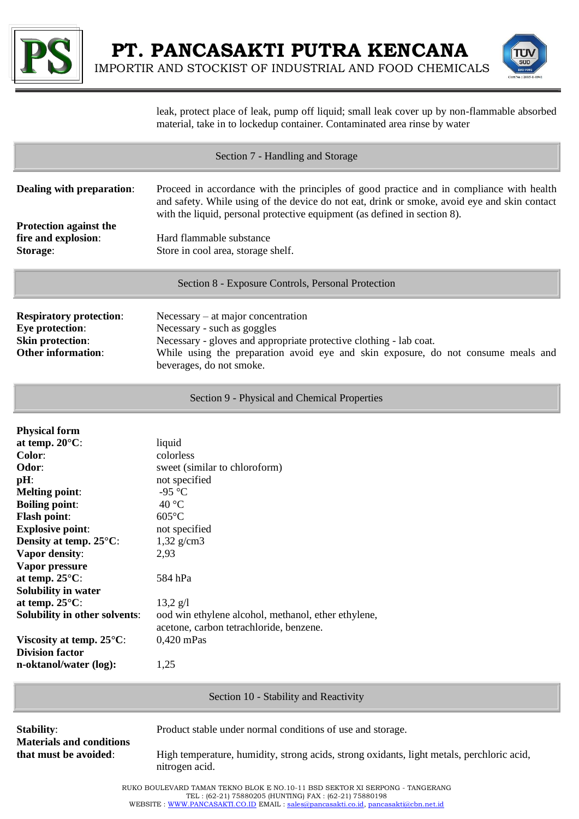

IMPORTIR AND STOCKIST OF INDUSTRIAL AND FOOD CHEMICALS



leak, protect place of leak, pump off liquid; small leak cover up by non-flammable absorbed material, take in to lockedup container. Contaminated area rinse by water

| Section 7 - Handling and Storage                                                                                                                                                                                                                                                                                                                                                                                                             |                                                                                                                                                                                                                                                                                                                                         |  |  |  |
|----------------------------------------------------------------------------------------------------------------------------------------------------------------------------------------------------------------------------------------------------------------------------------------------------------------------------------------------------------------------------------------------------------------------------------------------|-----------------------------------------------------------------------------------------------------------------------------------------------------------------------------------------------------------------------------------------------------------------------------------------------------------------------------------------|--|--|--|
| Dealing with preparation:<br><b>Protection against the</b><br>fire and explosion:<br>Storage:                                                                                                                                                                                                                                                                                                                                                | Proceed in accordance with the principles of good practice and in compliance with health<br>and safety. While using of the device do not eat, drink or smoke, avoid eye and skin contact<br>with the liquid, personal protective equipment (as defined in section 8).<br>Hard flammable substance<br>Store in cool area, storage shelf. |  |  |  |
| Section 8 - Exposure Controls, Personal Protection                                                                                                                                                                                                                                                                                                                                                                                           |                                                                                                                                                                                                                                                                                                                                         |  |  |  |
| <b>Respiratory protection:</b><br>Eye protection:<br><b>Skin protection:</b><br><b>Other information:</b>                                                                                                                                                                                                                                                                                                                                    | $Necessary - at major concentration$<br>Necessary - such as goggles<br>Necessary - gloves and appropriate protective clothing - lab coat.<br>While using the preparation avoid eye and skin exposure, do not consume meals and<br>beverages, do not smoke.                                                                              |  |  |  |
| Section 9 - Physical and Chemical Properties                                                                                                                                                                                                                                                                                                                                                                                                 |                                                                                                                                                                                                                                                                                                                                         |  |  |  |
| <b>Physical form</b><br>at temp. $20^{\circ}$ C:<br>Color:<br>Odor:<br>pH:<br><b>Melting point:</b><br><b>Boiling point:</b><br><b>Flash point:</b><br><b>Explosive point:</b><br>Density at temp. 25°C:<br>Vapor density:<br>Vapor pressure<br>at temp. 25°C:<br>Solubility in water<br>at temp. $25^{\circ}$ C:<br>Solubility in other solvents:<br>Viscosity at temp. $25^{\circ}$ C:<br><b>Division factor</b><br>n-oktanol/water (log): | liquid<br>colorless<br>sweet (similar to chloroform)<br>not specified<br>-95 °C<br>40 °C<br>$605^{\circ}$ C<br>not specified<br>$1,32 \text{ g/cm}$ 3<br>2,93<br>584 hPa<br>$13,2 \text{ g}/1$<br>ood win ethylene alcohol, methanol, ether ethylene,<br>acetone, carbon tetrachloride, benzene.<br>$0,420$ mPas<br>1,25                |  |  |  |
| Section 10 - Stability and Reactivity                                                                                                                                                                                                                                                                                                                                                                                                        |                                                                                                                                                                                                                                                                                                                                         |  |  |  |
| <b>Stability:</b><br><b>Materials and conditions</b><br>that must be avoided:                                                                                                                                                                                                                                                                                                                                                                | Product stable under normal conditions of use and storage.<br>High temperature, humidity, strong acids, strong oxidants, light metals, perchloric acid,<br>nitrogen acid.                                                                                                                                                               |  |  |  |
| RUKO BOULEVARD TAMAN TEKNO BLOK E NO.10-11 BSD SEKTOR XI SERPONG - TANGERANG<br>TEL: (62-21) 75880205 (HUNTING) FAX: (62-21) 75880198<br>WEBSITE: WWW.PANCASAKTI.CO.ID EMAIL: sales@pancasakti.co.id, pancasakti@cbn.net.id                                                                                                                                                                                                                  |                                                                                                                                                                                                                                                                                                                                         |  |  |  |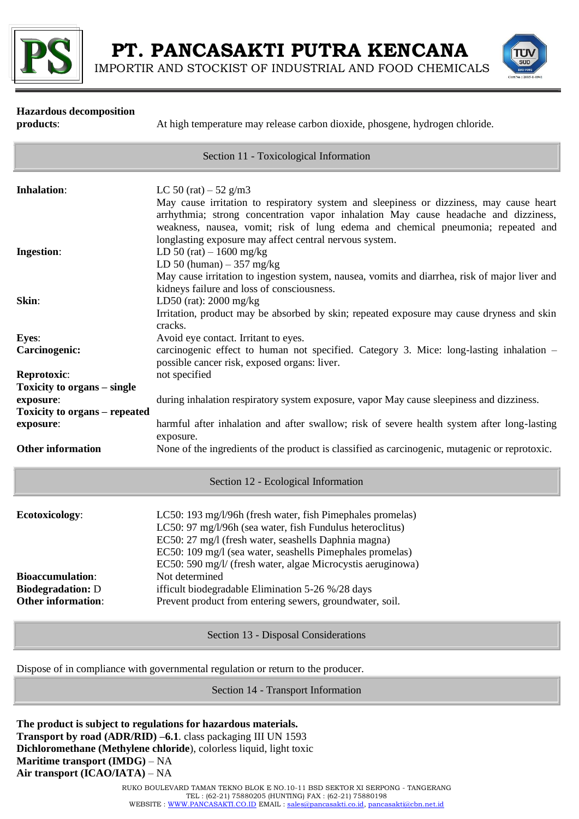

IMPORTIR AND STOCKIST OF INDUSTRIAL AND FOOD CHEMICALS



### **Hazardous decomposition products**: At high temperature may release carbon dioxide, phosgene, hydrogen chloride, Section 11 - Toxicological Information **Inhalation:** LC 50 (rat)  $-52$  g/m3 May cause irritation to respiratory system and sleepiness or dizziness, may cause heart arrhythmia; strong concentration vapor inhalation May cause headache and dizziness, weakness, nausea, vomit; risk of lung edema and chemical pneumonia; repeated and longlasting exposure may affect central nervous system. **Ingestion:** LD 50 (rat) – 1600 mg/kg LD 50 (human)  $-357$  mg/kg May cause irritation to ingestion system, nausea, vomits and diarrhea, risk of major liver and kidneys failure and loss of consciousness. **Skin**: LD50 (rat): 2000 mg/kg Irritation, product may be absorbed by skin; repeated exposure may cause dryness and skin cracks. Eves: Avoid eve contact. Irritant to eves. **Carcinogenic:** carcinogenic effect to human not specified. Category 3. Mice: long-lasting inhalation – possible cancer risk, exposed organs: liver. **Reprotoxic:** not specified **Toxicity to organs – single exposure**: during inhalation respiratory system exposure, vapor May cause sleepiness and dizziness. **Toxicity to organs – repeated exposure:** harmful after inhalation and after swallow; risk of severe health system after long-lasting exposure. **Other information** None of the ingredients of the product is classified as carcinogenic, mutagenic or reprotoxic. Section 12 - Ecological Information **Ecotoxicology:** LC50: 193 mg/l/96h (fresh water, fish Pimephales promelas) LC50: 97 mg/l/96h (sea water, fish Fundulus heteroclitus) EC50: 27 mg/l (fresh water, seashells Daphnia magna) EC50: 109 mg/l (sea water, seashells Pimephales promelas) EC50: 590 mg/l/ (fresh water, algae Microcystis aeruginowa) **Bioaccumulation:** Not determined **Biodegradation:** D ifficult biodegradable Elimination 5-26 %/28 days **Other information:** Prevent product from entering sewers, groundwater, soil. Section 13 - Disposal Considerations

Dispose of in compliance with governmental regulation or return to the producer.

Section 14 - Transport Information

**The product is subject to regulations for hazardous materials. Transport by road (ADR/RID) –6.1**. class packaging III UN 1593 **Dichloromethane (Methylene chloride**), colorless liquid, light toxic **Maritime transport (IMDG)** – NA **Air transport (ICAO/IATA)** – NA